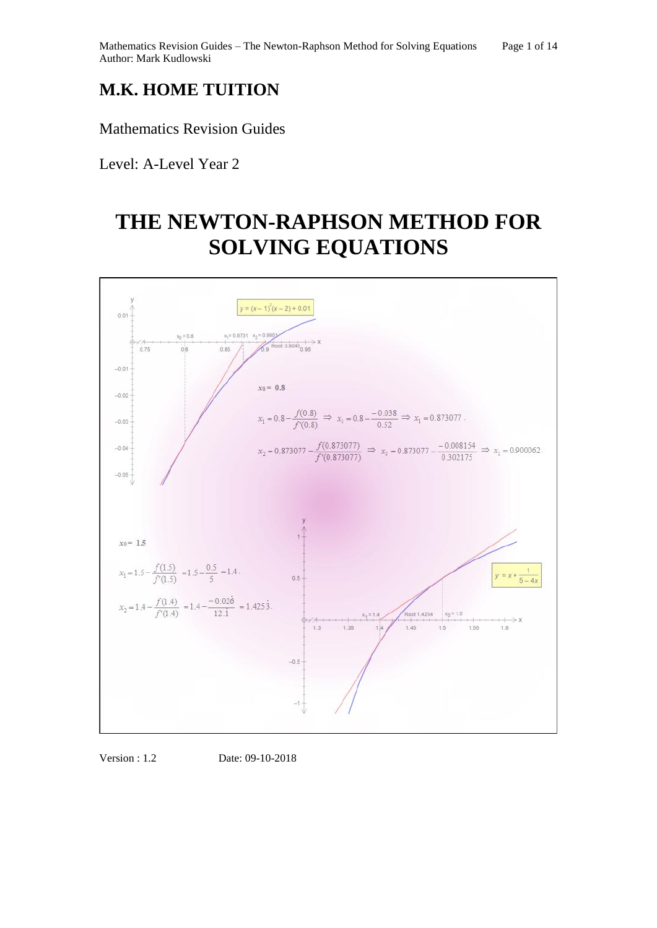## **M.K. HOME TUITION**

Mathematics Revision Guides

Level: A-Level Year 2

# **THE NEWTON-RAPHSON METHOD FOR SOLVING EQUATIONS**



Version : 1.2 Date: 09-10-2018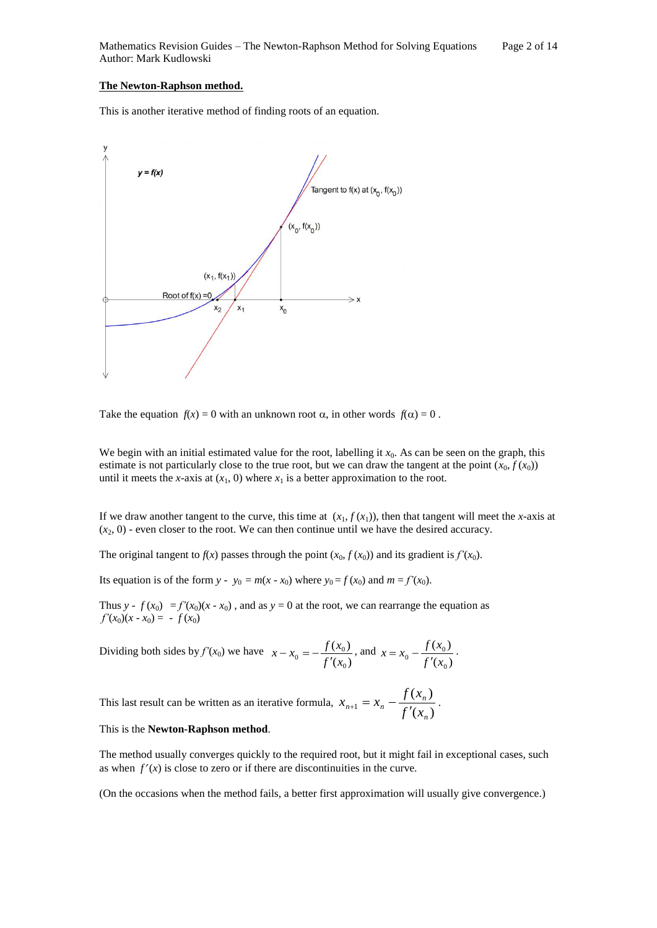#### **The Newton-Raphson method.**

This is another iterative method of finding roots of an equation.



Take the equation  $f(x) = 0$  with an unknown root  $\alpha$ , in other words  $f(\alpha) = 0$ .

We begin with an initial estimated value for the root, labelling it  $x_0$ . As can be seen on the graph, this estimate is not particularly close to the true root, but we can draw the tangent at the point  $(x_0, f(x_0))$ until it meets the *x*-axis at  $(x_1, 0)$  where  $x_1$  is a better approximation to the root.

If we draw another tangent to the curve, this time at  $(x_1, f(x_1))$ , then that tangent will meet the *x*-axis at  $(x_2, 0)$  - even closer to the root. We can then continue until we have the desired accuracy.

The original tangent to  $f(x)$  passes through the point  $(x_0, f(x_0))$  and its gradient is  $f'(x_0)$ .

Its equation is of the form *y* - *y*<sub>0</sub> = *m*(*x* - *x*<sub>0</sub>) where *y*<sub>0</sub> = *f*(*x*<sub>0</sub>) and *m* = *f'*(*x*<sub>0</sub>).

Thus *y* -  $f(x_0) = f'(x_0)(x - x_0)$ , and as  $y = 0$  at the root, we can rearrange the equation as  $f'(x_0)(x-x_0) = -f(x_0)$ 

Dividing both sides by 
$$
f'(x_0)
$$
 we have  $x - x_0 = -\frac{f(x_0)}{f'(x_0)}$ , and  $x = x_0 - \frac{f(x_0)}{f'(x_0)}$ .

This last result can be written as an iterative formula,  $x_{n+1} = x_n - \frac{\int (x - y_n)^2}{\int f'(x_n)}$  $(x_n)$ 1 *n n*  $f(x) = \frac{x_n - f'(x)}{f'(x)}$ *f x*  $x_{n+1} = x$  $x_{n+1} = x_{n} - \frac{f(x_{n})}{f'(x_{n})}$ .

#### This is the **Newton-Raphson method**.

The method usually converges quickly to the required root, but it might fail in exceptional cases, such as when  $f'(x)$  is close to zero or if there are discontinuities in the curve.

(On the occasions when the method fails, a better first approximation will usually give convergence.)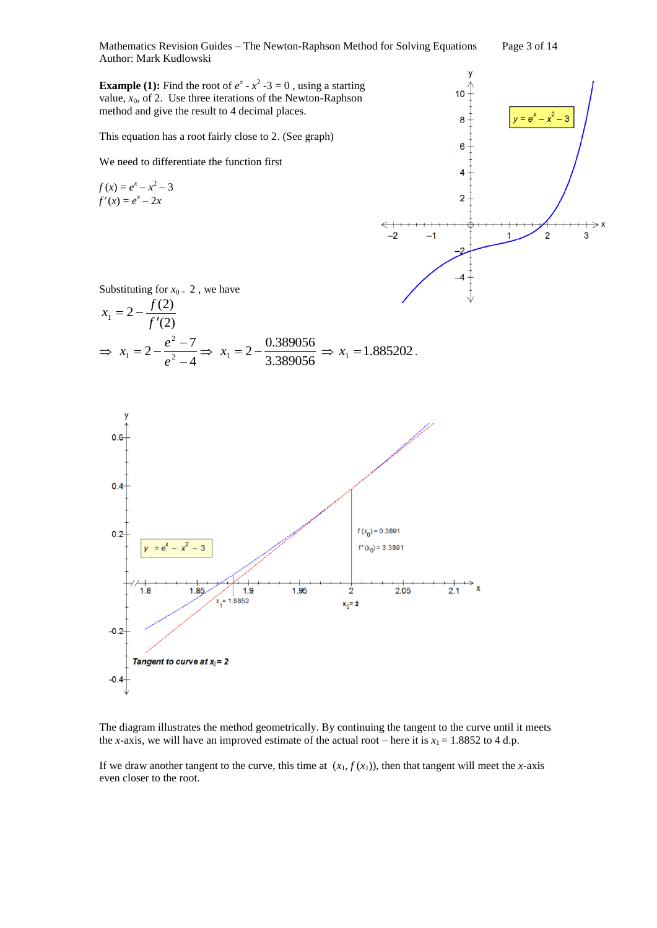Mathematics Revision Guides – The Newton-Raphson Method for Solving Equations Page 3 of 14 Author: Mark Kudlowski

**Example (1):** Find the root of  $e^x - x^2 - 3 = 0$ , using a starting value,  $x_0$ , of 2. Use three iterations of the Newton-Raphson method and give the result to 4 decimal places.

This equation has a root fairly close to 2. (See graph)

We need to differentiate the function first

$$
f(x) = ex - x2 - 3
$$
  
f'(x) = e<sup>x</sup> - 2x



Substituting for  $x_{0} = 2$ , we have

$$
x_1 = 2 - \frac{f(2)}{f'(2)}
$$
  
\n
$$
\Rightarrow x_1 = 2 - \frac{e^2 - 7}{e^2 - 4} \Rightarrow x_1 = 2 - \frac{0.389056}{3.389056} \Rightarrow x_1 = 1.885202.
$$



The diagram illustrates the method geometrically. By continuing the tangent to the curve until it meets the *x*-axis, we will have an improved estimate of the actual root – here it is  $x_1 = 1.8852$  to 4 d.p.

If we draw another tangent to the curve, this time at  $(x_1, f(x_1))$ , then that tangent will meet the *x*-axis even closer to the root.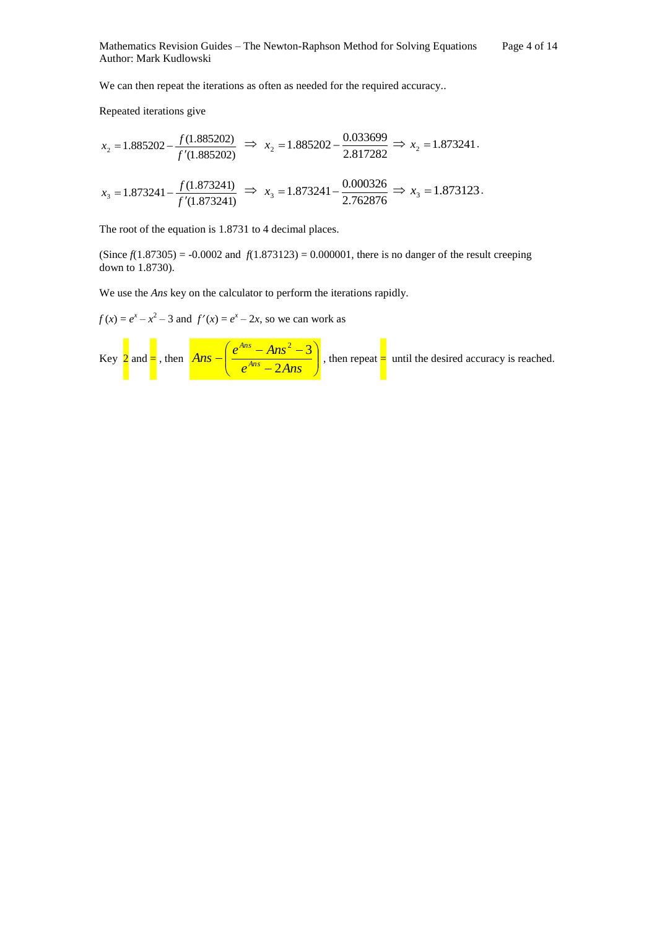We can then repeat the iterations as often as needed for the required accuracy..

Repeated iterations give

$$
x_2 = 1.885202 - \frac{f(1.885202)}{f'(1.885202)} \Rightarrow x_2 = 1.885202 - \frac{0.033699}{2.817282} \Rightarrow x_2 = 1.873241.
$$

$$
x_3 = 1.873241 - \frac{f(1.873241)}{f'(1.873241)} \implies x_3 = 1.873241 - \frac{0.000326}{2.762876} \implies x_3 = 1.873123.
$$

The root of the equation is 1.8731 to 4 decimal places.

(Since  $f(1.87305) = -0.0002$  and  $f(1.873123) = 0.000001$ , there is no danger of the result creeping down to 1.8730).

We use the *Ans* key on the calculator to perform the iterations rapidly.

 $f(x) = e^x - x^2 - 3$  and  $f'(x) = e^x - 2x$ , so we can work as

Key 
$$
2
$$
 and  $-\frac{2}{\pi}$ , then  $Ans - \left(\frac{e^{Ans} - Ans^2 - 3}{e^{Ans} - 2Ans}\right)$ , then repeat  $-\frac{2}{\pi}$  until the desired accuracy is reached.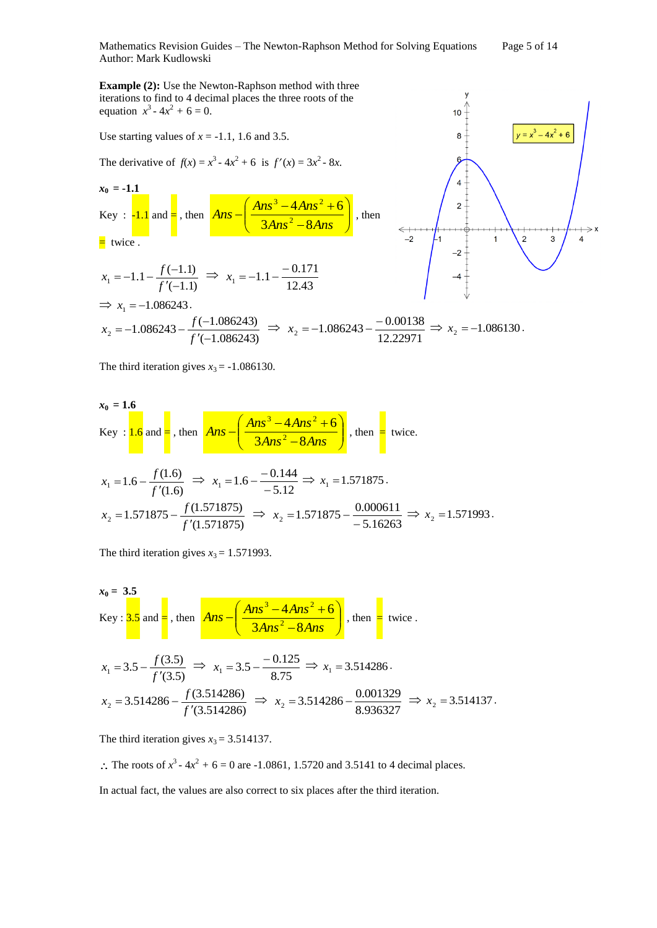Mathematics Revision Guides – The Newton-Raphson Method for Solving Equations Page 5 of 14 Author: Mark Kudlowski

> $\mathbf{y}$  $10$

> > $8 -$

6

 $\overline{4}$ 

 $2<sup>1</sup>$ 

 $-2$ 

 $\overline{1}$ 

 $y = y^3 - 4y^2 + 6y$ 

 $\overline{3}$ 

 $\overline{\mathbf{A}}$ 

 $\overline{2}$ 

**Example (2):** Use the Newton-Raphson method with three iterations to find to 4 decimal places the three roots of the equation  $x^3 - 4x^2 + 6 = 0$ .

Use starting values of *x* = -1.1, 1.6 and 3.5.

The derivative of  $f(x) = x^3 - 4x^2 + 6$  is  $f'(x) = 3x^2 - 8x$ .

$$
x_0 = -1.1
$$
  
Key :  $-1.1$  and  $=$ , then  $Ans - \left(\frac{Ans^3 - 4Ans^2 + 6}{3Ans^2 - 8Ans}\right)$ , then

 $=$  twice.

$$
x_1 = -1.1 - \frac{f(-1.1)}{f'(-1.1)} \implies x_1 = -1.1 - \frac{-0.171}{12.43}
$$
\n
$$
\implies x_1 = -1.086243.
$$
\n
$$
x_2 = -1.086243 - \frac{f(-1.086243)}{f'(-1.086243)} \implies x_2 = -1.086243 - \frac{-0.00138}{12.22971} \implies x_2 = -1.086130.
$$

The third iteration gives  $x_3 = -1.086130$ .

$$
x_0 = 1.6
$$
  
Key :  $1.6$  and  $1.6$ , then  $Ans - \left(\frac{Ans^3 - 4Ans^2 + 6}{3Ans^2 - 8Ans}\right)$ , then  $4ns - \left(\frac{Ans^3 - 4Ans^2 + 6}{3Ans^2 - 8Ans}\right)$ , then  $4ns - \left(\frac{33}{36}\right)$ , then  $4ns - \left(\frac{33}{36}\right)$ .

$$
x_1 = 1.6 - \frac{f(1.6)}{f'(1.6)} \implies x_1 = 1.6 - \frac{-0.144}{-5.12} \implies x_1 = 1.571875.
$$
  

$$
x_2 = 1.571875 - \frac{f(1.571875)}{f'(1.571875)} \implies x_2 = 1.571875 - \frac{0.000611}{-5.16263} \implies x_2 = 1.571993.
$$

The third iteration gives  $x_3 = 1.571993$ .

$$
x_0 = 3.5
$$
  
\nKey :  $3.5$  and  $=$ , then  $Ans - \left(\frac{Ans^3 - 4Ans^2 + 6}{3Ans^2 - 8Ans}\right)$ , then  $=$  twice.  
\n $x_1 = 3.5 - \frac{f(3.5)}{f'(3.5)} \implies x_1 = 3.5 - \frac{-0.125}{8.75} \implies x_1 = 3.514286$ .  
\n $x_2 = 3.514286 - \frac{f(3.514286)}{f'(3.514286)} \implies x_2 = 3.514286 - \frac{0.001329}{8.936327} \implies x_2 = 3.514137$ .

The third iteration gives  $x_3 = 3.514137$ .

:. The roots of  $x^3 - 4x^2 + 6 = 0$  are -1.0861, 1.5720 and 3.5141 to 4 decimal places.

In actual fact, the values are also correct to six places after the third iteration.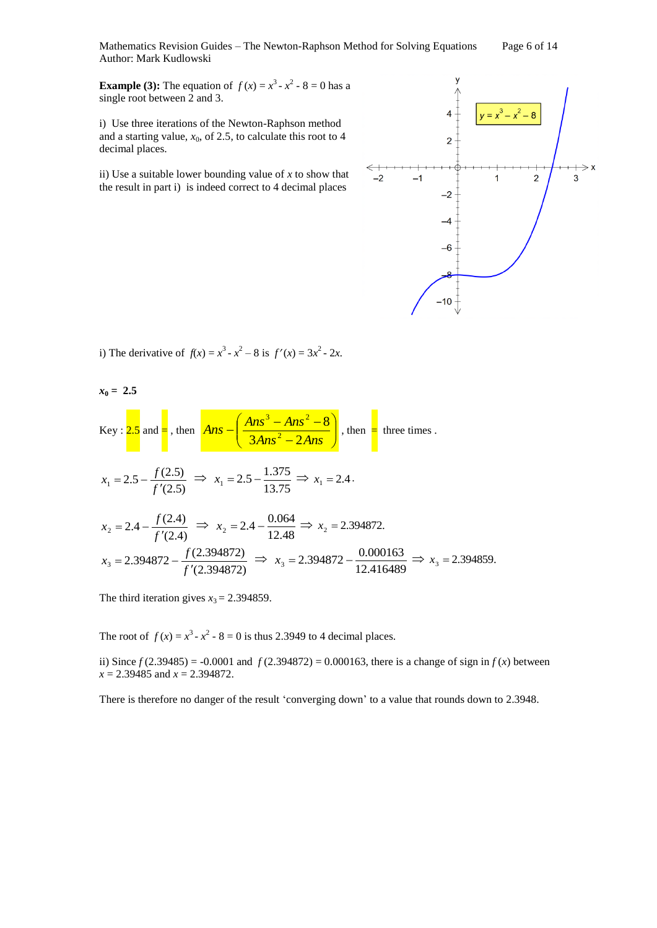Mathematics Revision Guides – The Newton-Raphson Method for Solving Equations Page 6 of 14 Author: Mark Kudlowski

**Example (3):** The equation of  $f(x) = x^3 - x^2 - 8 = 0$  has a single root between 2 and 3.

i) Use three iterations of the Newton-Raphson method and a starting value,  $x_0$ , of 2.5, to calculate this root to 4 decimal places.

ii) Use a suitable lower bounding value of *x* to show that the result in part i) is indeed correct to 4 decimal places



i) The derivative of  $f(x) = x^3 - x^2 - 8$  is  $f'(x) = 3x^2 - 2x$ .

$$
x_0 = 2.5
$$
  
\nKey:  $2.5$  and  $\frac{1}{5}$ , then  $\left( \frac{Ans^3 - Ans^2 - 8}{3Ans^2 - 2Ans} \right)$ , then  $\left( \frac{37.5}{34ns^2 - 24ns} \right)$ , then  $\left( \frac{37.5}{34ns^2 - 24ns} \right)$ , then  $\left( \frac{37.5}{34ns^2 - 24ns} \right)$ , then  $\left( \frac{37.5}{34ns^2 - 24ns} \right)$ , then  $\left( \frac{37.5}{34ns^2 - 24ns} \right)$ , then  $\left( \frac{37.5}{34ns^2 - 24ns} \right)$ , then  $\left( \frac{37.5}{34ns^2 - 24ns} \right)$ , then  $\left( \frac{37.5}{34ns^2 - 24ns} \right)$ , then  $\left( \frac{37.5}{34ns^2 - 24ns} \right)$ , then  $\left( \frac{37.5}{34ns^2 - 24ns} \right)$ , then  $\left( \frac{37.5}{34ns^2 - 24ns} \right)$ , then  $\left( \frac{37.5}{34ns^2 - 24ns} \right)$ , then  $\left( \frac{37.5}{34ns^2 - 24ns} \right)$ , then  $\left( \frac{37.5}{34ns^2 - 24ns} \right)$ , then  $\left( \frac{37.5}{34ns^2 - 24ns} \right)$ , then  $\left( \frac{37.5}{34ns^2 - 24ns} \right)$ , then  $\left( \frac{37.5}{34ns^2 - 24ns} \right)$ , then  $\left( \frac{37.5}{34ns^2 - 24ns} \right)$ , then  $\left( \frac{37.5}{34ns^2 - 24ns} \right)$ , then  $\left( \frac{37.5}{34ns^2 - 24ns} \right)$ , then  $\left( \frac{37.5}{34ns^2 - 24ns} \right)$ , then  $\left( \frac{37.5}{34ns^2 - 24ns} \right)$ , then  $\left( \frac{37.5}{34ns^2 - 24ns} \right)$ 

The third iteration gives  $x_3 = 2.394859$ .

The root of  $f(x) = x^3 - x^2 - 8 = 0$  is thus 2.3949 to 4 decimal places.

ii) Since  $f(2.39485) = -0.0001$  and  $f(2.394872) = 0.000163$ , there is a change of sign in  $f(x)$  between *x* = 2.39485 and *x* = 2.394872.

There is therefore no danger of the result 'converging down' to a value that rounds down to 2.3948.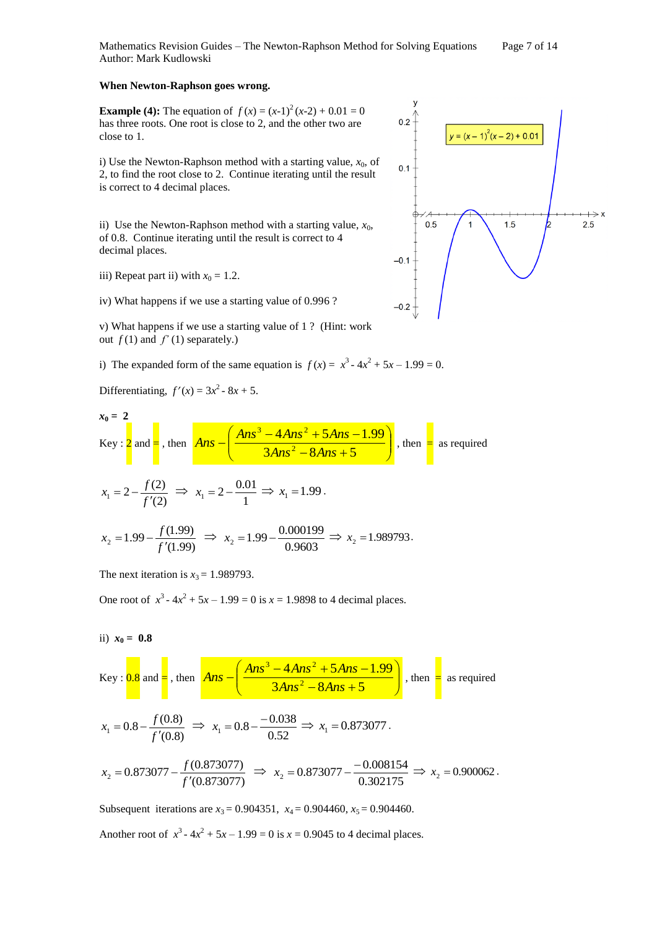Mathematics Revision Guides – The Newton-Raphson Method for Solving Equations Page 7 of 14 Author: Mark Kudlowski

### **When Newton-Raphson goes wrong.**

**Example (4):** The equation of  $f(x) = (x-1)^2(x-2) + 0.01 = 0$ has three roots. One root is close to 2, and the other two are close to 1.

i) Use the Newton-Raphson method with a starting value,  $x_0$ , of 2, to find the root close to 2. Continue iterating until the result is correct to 4 decimal places.

ii) Use the Newton-Raphson method with a starting value,  $x_0$ , of 0.8. Continue iterating until the result is correct to 4 decimal places.

iii) Repeat part ii) with  $x_0 = 1.2$ .

iv) What happens if we use a starting value of 0.996 ?

v) What happens if we use a starting value of 1 ? (Hint: work out  $f(1)$  and  $f'(1)$  separately.)

i) The expanded form of the same equation is  $f(x) = x^3 - 4x^2 + 5x - 1.99 = 0$ .

Differentiating,  $f'(x) = 3x^2 - 8x + 5$ .

$$
x_0 = 2
$$
  
Key :  $2$  and  $=$ , then  $Ans - \left(\frac{Ans^3 - 4Ans^2 + 5Ans - 1.99}{3Ans^2 - 8Ans + 5}\right)$ , then  $=$  as required

$$
x_1 = 2 - \frac{f(2)}{f'(2)} \implies x_1 = 2 - \frac{0.01}{1} \implies x_1 = 1.99.
$$

$$
x_2 = 1.99 - \frac{f(1.99)}{f'(1.99)} \implies x_2 = 1.99 - \frac{0.000199}{0.9603} \implies x_2 = 1.989793.
$$

The next iteration is  $x_3 = 1.989793$ .

One root of  $x^3 - 4x^2 + 5x - 1.99 = 0$  is  $x = 1.9898$  to 4 decimal places.

ii) 
$$
x_0 = 0.8
$$

Key: 
$$
0.8
$$
 and  $=$ , then  $Ans - \left(\frac{Ans^3 - 4Ans^2 + 5Ans - 1.99}{3Ans^2 - 8Ans + 5}\right)$ , then  $=$  as required

$$
x_1 = 0.8 - \frac{f(0.8)}{f'(0.8)} \implies x_1 = 0.8 - \frac{-0.038}{0.52} \implies x_1 = 0.873077
$$
.

$$
x_2 = 0.873077 - \frac{f(0.873077)}{f'(0.873077)} \implies x_2 = 0.873077 - \frac{-0.008154}{0.302175} \implies x_2 = 0.900062.
$$

Subsequent iterations are  $x_3 = 0.904351$ ,  $x_4 = 0.904460$ ,  $x_5 = 0.904460$ .

Another root of  $x^3 - 4x^2 + 5x - 1.99 = 0$  is  $x = 0.9045$  to 4 decimal places.

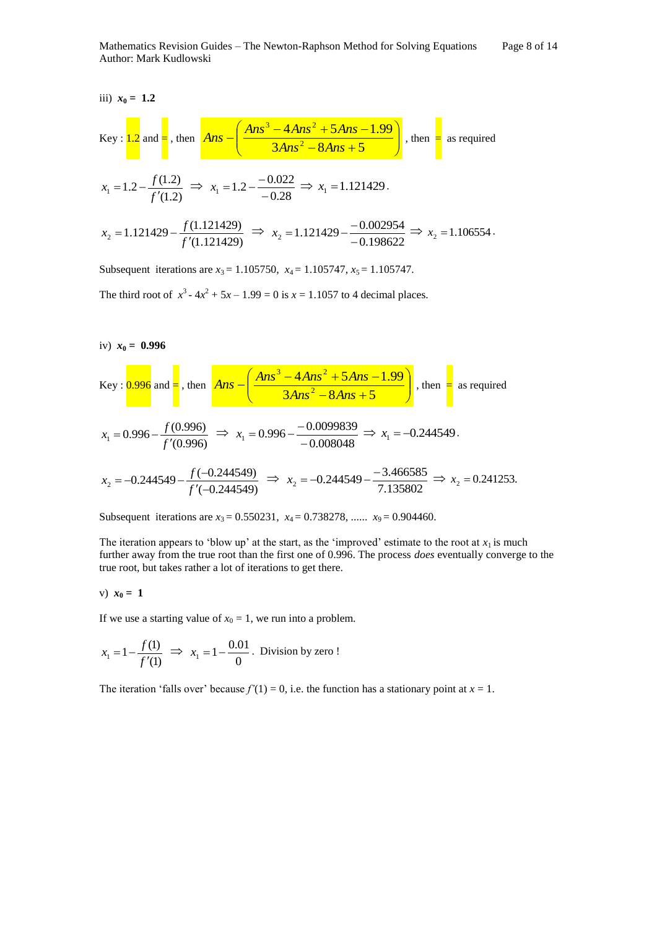$$
\text{Key: } \frac{1.2}{1.2} \text{ and } = \frac{1.2}{1.2} \text{ then } \frac{Ans - \left(\frac{Ans^3 - 4Ans^2 + 5Ans - 1.99}{3Ans^2 - 8Ans + 5}\right)}{3Ans^2 - 8Ans + 5}, \text{ then } = \text{ as required}
$$
\n
$$
x_1 = 1.2 - \frac{f(1.2)}{f'(1.2)} \implies x_1 = 1.2 - \frac{-0.022}{-0.28} \implies x_1 = 1.121429.
$$
\n
$$
x_2 = 1.121429 - \frac{f(1.121429)}{f'(1.121429)} \implies x_2 = 1.121429 - \frac{-0.002954}{-0.198622} \implies x_2 = 1.106554.
$$

Subsequent iterations are  $x_3 = 1.105750$ ,  $x_4 = 1.105747$ ,  $x_5 = 1.105747$ .

The third root of  $x^3 - 4x^2 + 5x - 1.99 = 0$  is  $x = 1.1057$  to 4 decimal places.

iv)  $x_0 = 0.996$ 

Key : 
$$
\frac{0.996}{0.996}
$$
 and  $=$ , then  $\frac{Ans - (\frac{Ans^3 - 4Ans^2 + 5Ans - 1.99}{3Ans^2 - 8Ans + 5})}{3Ans^2 - 8Ans + 5}$ , then  $=$  as required  
 $x_1 = 0.996 - \frac{f(0.996)}{f'(0.996)} \Rightarrow x_1 = 0.996 - \frac{-0.0099839}{-0.008048} \Rightarrow x_1 = -0.244549$ .  
 $x_2 = -0.244549 - \frac{f(-0.244549)}{f'(-0.244549)} \Rightarrow x_2 = -0.244549 - \frac{-3.466585}{7.135802} \Rightarrow x_2 = 0.241253$ .

Subsequent iterations are  $x_3 = 0.550231$ ,  $x_4 = 0.738278$ , ......  $x_9 = 0.904460$ .

The iteration appears to 'blow up' at the start, as the 'improved' estimate to the root at  $x_1$  is much further away from the true root than the first one of 0.996. The process *does* eventually converge to the true root, but takes rather a lot of iterations to get there.

v) 
$$
x_0 = 1
$$

If we use a starting value of  $x_0 = 1$ , we run into a problem.

$$
x_1 = 1 - \frac{f(1)}{f'(1)}
$$
  $\implies x_1 = 1 - \frac{0.01}{0}$ . Division by zero !

The iteration 'falls over' because  $f'(1) = 0$ , i.e. the function has a stationary point at  $x = 1$ .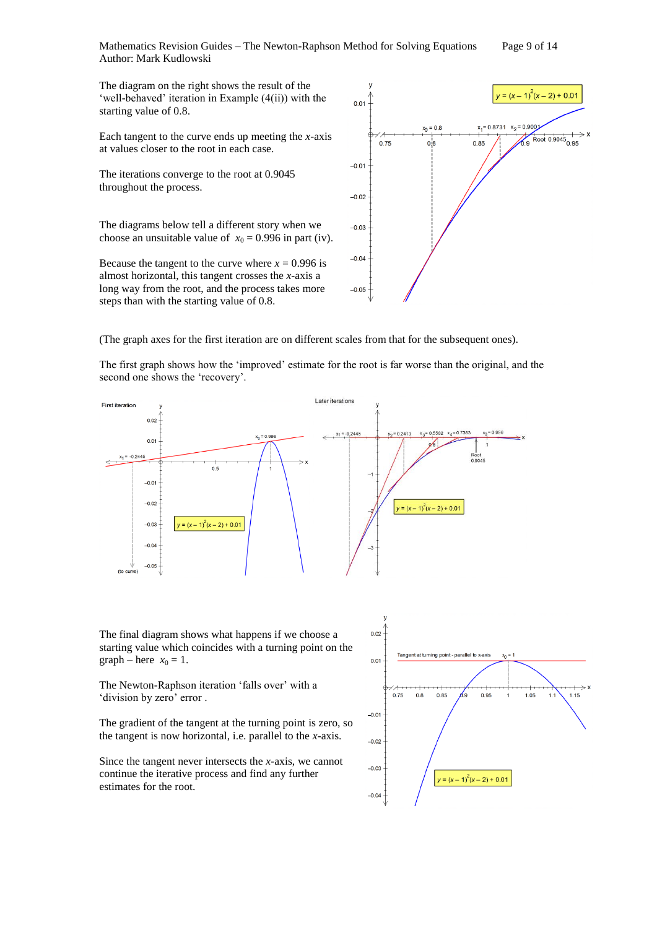Mathematics Revision Guides – The Newton-Raphson Method for Solving Equations Page 9 of 14 Author: Mark Kudlowski

The diagram on the right shows the result of the 'well-behaved' iteration in Example (4(ii)) with the starting value of 0.8.

Each tangent to the curve ends up meeting the *x-*axis at values closer to the root in each case.

The iterations converge to the root at 0.9045 throughout the process.

The diagrams below tell a different story when we choose an unsuitable value of  $x_0 = 0.996$  in part (iv).

Because the tangent to the curve where  $x = 0.996$  is almost horizontal, this tangent crosses the *x-*axis a long way from the root, and the process takes more steps than with the starting value of 0.8.



(The graph axes for the first iteration are on different scales from that for the subsequent ones).

The first graph shows how the 'improved' estimate for the root is far worse than the original, and the second one shows the 'recovery'.



The final diagram shows what happens if we choose a starting value which coincides with a turning point on the graph – here  $x_0 = 1$ .

The Newton-Raphson iteration 'falls over' with a 'division by zero' error .

The gradient of the tangent at the turning point is zero, so the tangent is now horizontal, i.e. parallel to the *x-*axis.

Since the tangent never intersects the *x-*axis, we cannot continue the iterative process and find any further estimates for the root.

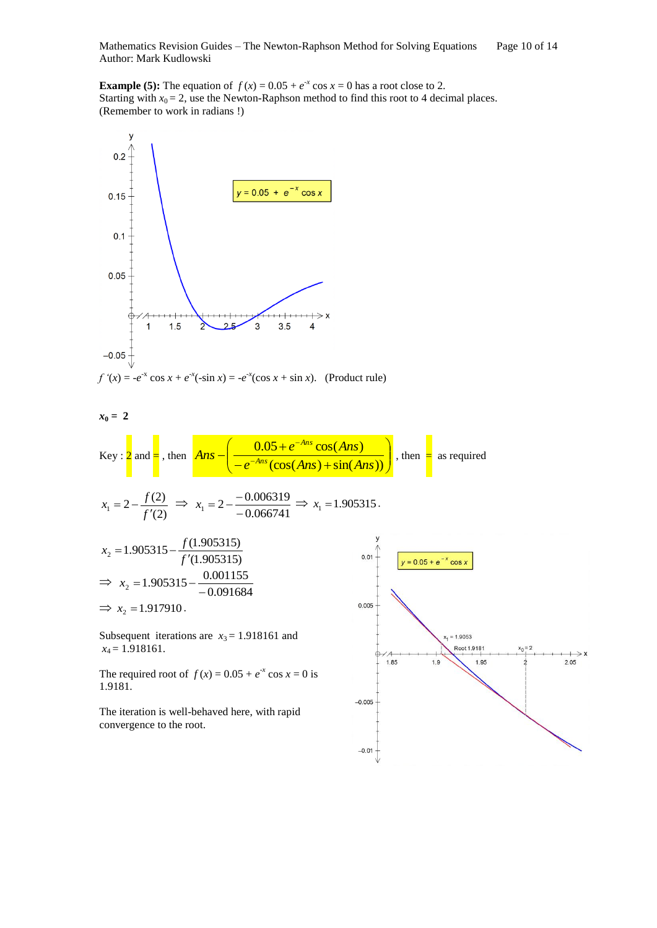Mathematics Revision Guides – The Newton-Raphson Method for Solving Equations Page 10 of 14 Author: Mark Kudlowski

**Example (5):** The equation of  $f(x) = 0.05 + e^{-x} \cos x = 0$  has a root close to 2. Starting with  $x_0 = 2$ , use the Newton-Raphson method to find this root to 4 decimal places. (Remember to work in radians !)



 $-0.01$ 

 $\rightarrow$ 

 $2.05$ 

convergence to the root.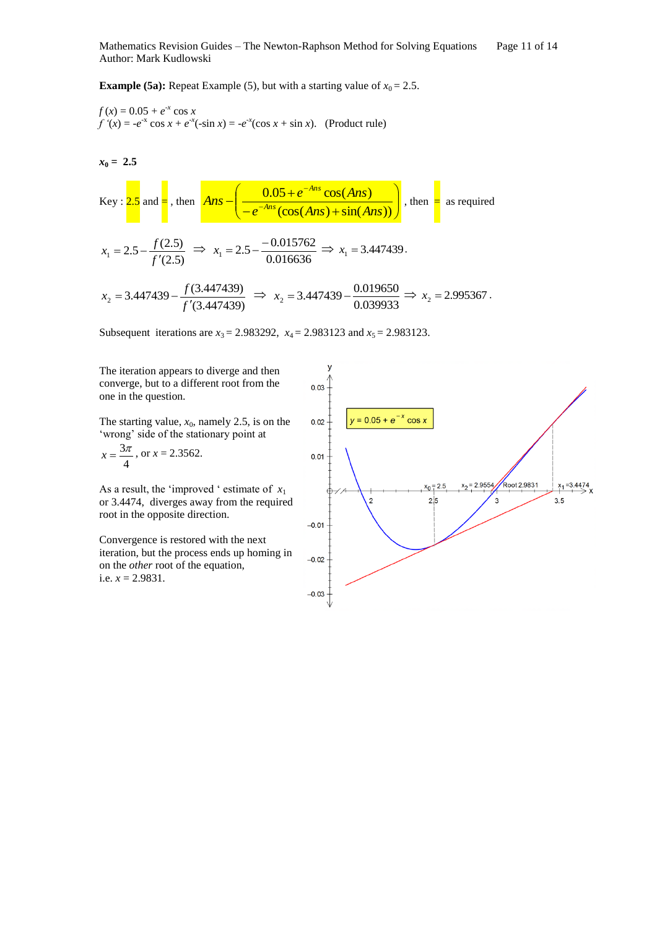**Example (5a):** Repeat Example (5), but with a starting value of  $x_0 = 2.5$ .

$$
f(x) = 0.05 + e^{-x} \cos x
$$
  
f'(x) = -e^{-x} \cos x + e^{-x}(-\sin x) = -e^{-x}(\cos x + \sin x). (Product rule)

 $x_0 = 2.5$ 

Key: 
$$
2.5
$$
 and  $\frac{1}{2}$ , then  $Ans - \left( \frac{0.05 + e^{-Ans} \cos(Ans)}{-e^{-Ans}(\cos(Ans) + \sin(Ans))} \right)$ , then as required  
 $x_1 = 2.5 - \frac{f(2.5)}{f'(2.5)} \implies x_1 = 2.5 - \frac{-0.015762}{0.016636} \implies x_1 = 3.447439$ .

(3.447439)  $f(3.447439)$ <br> $f'(3.447439)$  $x_2 = 3.447439 - \frac{f(3.447439)}{f'(3.447439)} \Rightarrow$ 0.039933  $x_2 = 3.447439 - \frac{0.019650}{0.030033} \Rightarrow$  $\times x_2 = 2.995367$ .

Subsequent iterations are  $x_3 = 2.983292$ ,  $x_4 = 2.983123$  and  $x_5 = 2.983123$ .

The iteration appears to diverge and then converge, but to a different root from the one in the question.

The starting value,  $x_0$ , namely 2.5, is on the 'wrong' side of the stationary point at

$$
x = \frac{3\pi}{4}
$$
, or  $x = 2.3562$ .

As a result, the 'improved ' estimate of  $x_1$ or 3.4474, diverges away from the required root in the opposite direction.

Convergence is restored with the next iteration, but the process ends up homing in on the *other* root of the equation, i.e.  $x = 2.9831$ .

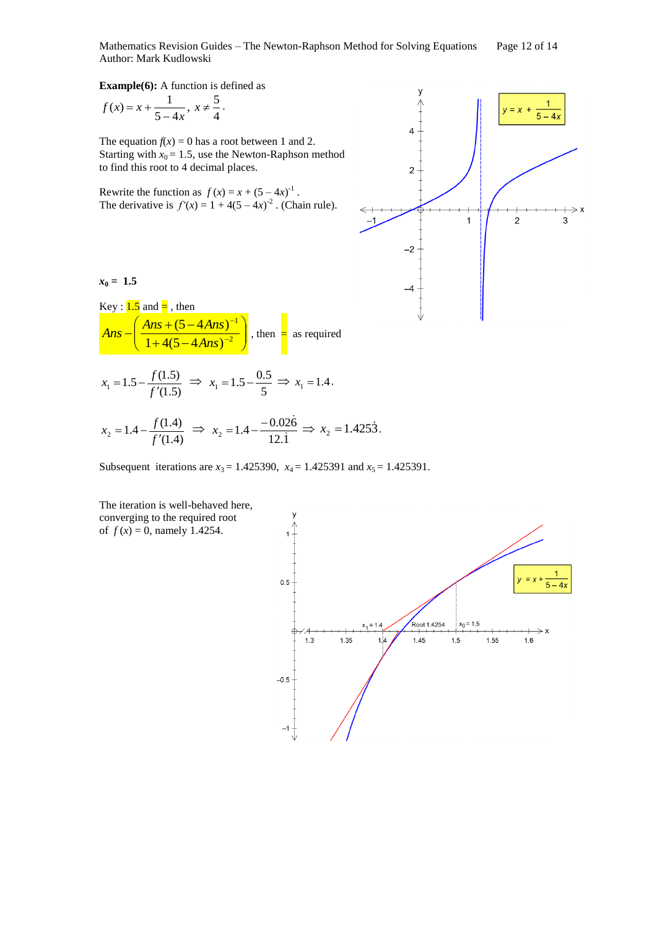Mathematics Revision Guides – The Newton-Raphson Method for Solving Equations Page 12 of 14 Author: Mark Kudlowski

**Example(6):** A function is defined as

$$
f(x) = x + \frac{1}{5 - 4x}, \ x \neq \frac{5}{4}.
$$

The equation  $f(x) = 0$  has a root between 1 and 2. Starting with  $x_0 = 1.5$ , use the Newton-Raphson method to find this root to 4 decimal places.

Rewrite the function as  $f(x) = x + (5 - 4x)^{-1}$ . The derivative is  $f'(x) = 1 + 4(5 - 4x)^{-2}$ . (Chain rule).



Key :  $1.5$  and  $=$ , then

ſ



$$
Ans - \left(\frac{Ans + (5 - 4Ans)^{-1}}{1 + 4(5 - 4Ans)^{-2}}\right), \text{ then } = \text{ as required}
$$

$$
x_1 = 1.5 - \frac{f(1.5)}{f'(1.5)} \implies x_1 = 1.5 - \frac{0.5}{5} \implies x_1 = 1.4.
$$

$$
x_2 = 1.4 - \frac{f(1.4)}{f'(1.4)} \implies x_2 = 1.4 - \frac{-0.026}{12.1} \implies x_2 = 1.4253.
$$

 $\lambda$ 

H

1

Subsequent iterations are  $x_3 = 1.425390$ ,  $x_4 = 1.425391$  and  $x_5 = 1.425391$ .



The iteration is well-behaved here, converging to the required root of  $f(x) = 0$ , namely 1.4254.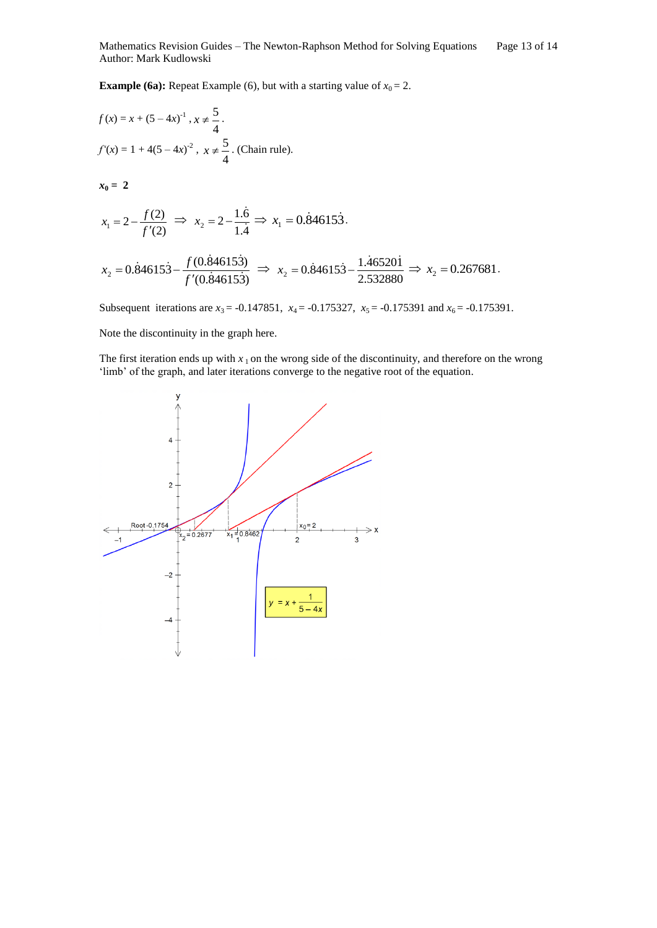**Example (6a):** Repeat Example (6), but with a starting value of  $x_0 = 2$ .

$$
f(x) = x + (5 - 4x)^{-1}, x \neq \frac{5}{4}.
$$
  

$$
f'(x) = 1 + 4(5 - 4x)^{-2}, x \neq \frac{5}{4}.
$$
 (Chain rule).

 $x_0 = 2$ 

$$
x_1 = 2 - \frac{f(2)}{f'(2)}
$$
  $\implies x_2 = 2 - \frac{1.\dot{6}}{1.\dot{4}} \implies x_1 = 0.\dot{8}4615\dot{3}.$ 

$$
x_2 = 0.\dot{8}4615\dot{3} - \frac{f(0.\dot{8}4615\dot{3})}{f'(0.\dot{8}4615\dot{3})} \Rightarrow x_2 = 0.\dot{8}4615\dot{3} - \frac{1.\dot{4}6520\dot{1}}{2.532880} \Rightarrow x_2 = 0.267681.
$$

Subsequent iterations are  $x_3 = -0.147851$ ,  $x_4 = -0.175327$ ,  $x_5 = -0.175391$  and  $x_6 = -0.175391$ .

Note the discontinuity in the graph here.

The first iteration ends up with  $x_1$  on the wrong side of the discontinuity, and therefore on the wrong 'limb' of the graph, and later iterations converge to the negative root of the equation.